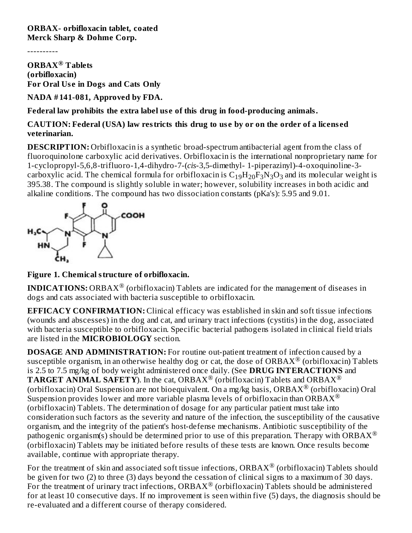**ORBAX- orbifloxacin tablet, coated Merck Sharp & Dohme Corp.**

----------

**ORBAX Tablets ® (orbifloxacin) For Oral Us e in Dogs and Cats Only**

**NADA # 141-081, Approved by FDA.**

**Federal law prohibits the extra label us e of this drug in food-producing animals.**

**CAUTION: Federal (USA) law restricts this drug to us e by or on the order of a licens ed veterinarian.**

**DESCRIPTION:** Orbifloxacin is a synthetic broad-spectrum antibacterial agent from the class of fluoroquinolone carboxylic acid derivatives. Orbifloxacin is the international nonproprietary name for 1-cyclopropyl-5,6,8-trifluoro-1,4-dihydro-7-(*cis*-3,5-dimethyl- 1-piperazinyl)-4-oxoquinoline-3 carboxylic acid. The chemical formula for orbifloxacin is  $\rm{C_{19}H_{20}F_{3}N_{3}O_{3}}$  and its molecular weight is 395.38. The compound is slightly soluble in water; however, solubility increases in both acidic and alkaline conditions. The compound has two dissociation constants (pKa's): 5.95 and 9.01.



**Figure 1. Chemical structure of orbifloxacin.**

**INDICATIONS:** ORBAX $^{\circledR}$  (orbifloxacin) Tablets are indicated for the management of diseases in dogs and cats associated with bacteria susceptible to orbifloxacin.

**EFFICACY CONFIRMATION:** Clinical efficacy was established in skin and soft tissue infections (wounds and abscesses) in the dog and cat, and urinary tract infections (cystitis) in the dog, associated with bacteria susceptible to orbifloxacin. Specific bacterial pathogens isolated in clinical field trials are listed in the **MICROBIOLOGY** section.

**DOSAGE AND ADMINISTRATION:** For routine out-patient treatment of infection caused by a susceptible organism, in an otherwise healthy dog or cat, the dose of ORBAX $^\circledR$  (orbifloxacin) Tablets is 2.5 to 7.5 mg/kg of body weight administered once daily. (See **DRUG INTERACTIONS** and **TARGET ANIMAL SAFETY**). In the cat, ORBAX<sup>®</sup> (orbifloxacin) Tablets and ORBAX<sup>®</sup> (orbifloxacin) Oral Suspension are not bioequivalent. On a mg/kg basis, ORBAX $^\circledR$  (orbifloxacin) Oral Suspension provides lower and more variable plasma levels of orbifloxacin than  $ORBAX^@$ (orbifloxacin) Tablets. The determination of dosage for any particular patient must take into consideration such factors as the severity and nature of the infection, the susceptibility of the causative organism, and the integrity of the patient's host-defense mechanisms. Antibiotic susceptibility of the pathogenic organism(s) should be determined prior to use of this preparation. Therapy with ORBAX  $^{\circledR}$ (orbifloxacin) Tablets may be initiated before results of these tests are known. Once results become available, continue with appropriate therapy.

For the treatment of skin and associated soft tissue infections,  $\text{ORBAX}^{\circledR}$  (orbifloxacin) Tablets should be given for two (2) to three (3) days beyond the cessation of clinical signs to a maximum of 30 days. For the treatment of urinary tract infections, ORBAX® (orbifloxacin) Tablets should be administered for at least 10 consecutive days. If no improvement is seen within five (5) days, the diagnosis should be re-evaluated and a different course of therapy considered.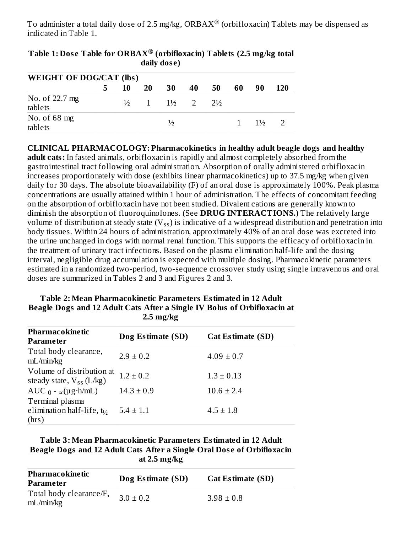To administer a total daily dose of 2.5 mg/kg, ORBAX $^\circledR$  (orbifloxacin) Tablets may be dispensed as indicated in Table 1.

|                                |   |    |    | ually uose)                     |    |                |    |                |            |
|--------------------------------|---|----|----|---------------------------------|----|----------------|----|----------------|------------|
| <b>WEIGHT OF DOG/CAT (lbs)</b> |   |    |    |                                 |    |                |    |                |            |
|                                | 5 | 10 | 20 | 30                              | 40 | 50             | 60 | 90             | <b>120</b> |
| No. of 22.7 mg<br>tablets      |   |    |    | $\frac{1}{2}$ 1 $\frac{1}{2}$ 2 |    | $7\frac{1}{2}$ |    |                |            |
| No. of $68$ mg<br>tablets      |   |    |    | ⅓                               |    |                |    | $1\frac{1}{2}$ |            |

**Table 1: Dos e Table for ORBAX (orbifloxacin) Tablets (2.5 mg/kg total ® daily dos e)**

**CLINICAL PHARMACOLOGY: Pharmacokinetics in healthy adult beagle dogs and healthy adult cats:** In fasted animals, orbifloxacin is rapidly and almost completely absorbed from the gastrointestinal tract following oral administration. Absorption of orally administered orbifloxacin increases proportionately with dose (exhibits linear pharmacokinetics) up to 37.5 mg/kg when given daily for 30 days. The absolute bioavailability (F) of an oral dose is approximately 100%. Peak plasma concentrations are usually attained within 1 hour of administration. The effects of concomitant feeding on the absorption of orbifloxacin have not been studied. Divalent cations are generally known to diminish the absorption of fluoroquinolones. (See **DRUG INTERACTIONS.**) The relatively large volume of distribution at steady state (V $_{\rm ss}$ ) is indicative of a widespread distribution and penetration into body tissues. Within 24 hours of administration, approximately 40% of an oral dose was excreted into the urine unchanged in dogs with normal renal function. This supports the efficacy of orbifloxacin in the treatment of urinary tract infections. Based on the plasma elimination half-life and the dosing interval, negligible drug accumulation is expected with multiple dosing. Pharmacokinetic parameters estimated in a randomized two-period, two-sequence crossover study using single intravenous and oral doses are summarized in Tables 2 and 3 and Figures 2 and 3.

| Beagle Dogs and 12 Adult Cats After a Single IV Bolus of Orbifloxacin at<br>$2.5 \text{ mg/kg}$ |                   |                   |  |  |  |  |
|-------------------------------------------------------------------------------------------------|-------------------|-------------------|--|--|--|--|
| Pharmacokinetic<br>Parameter                                                                    | Dog Estimate (SD) | Cat Estimate (SD) |  |  |  |  |
| Total body clearance,<br>mL/min/kg                                                              | $2.9 \pm 0.2$     | $4.09 \pm 0.7$    |  |  |  |  |
| Volume of distribution at<br>steady state, $V_{ss}$ (L/kg)                                      | $1.2 \pm 0.2$     | $1.3 \pm 0.13$    |  |  |  |  |
| AUC $_0$ - $_{\infty}$ (µg·h/mL)                                                                | $14.3 \pm 0.9$    | $10.6 \pm 2.4$    |  |  |  |  |
| Terminal plasma<br>elimination half-life, $t_{1/2}$<br>(hrs)                                    | $5.4 \pm 1.1$     | $4.5 \pm 1.8$     |  |  |  |  |

## **Table 2: Mean Pharmacokinetic Parameters Estimated in 12 Adult Beagle Dogs and 12 Adult Cats After a Single IV Bolus of Orbifloxacin at**

**Table 3: Mean Pharmacokinetic Parameters Estimated in 12 Adult Beagle Dogs and 12 Adult Cats After a Single Oral Dos e of Orbifloxacin at 2.5 mg/kg**

| Pharmacokinetic<br>Parameter         | Dog Estimate (SD) | <b>Cat Estimate (SD)</b> |
|--------------------------------------|-------------------|--------------------------|
| Total body clearance/F,<br>mL/min/kg | $3.0 \pm 0.2$     | $3.98 \pm 0.8$           |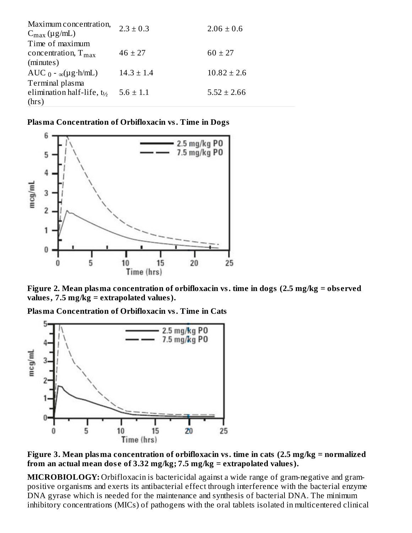| $2.3 \pm 0.3$  | $2.06 \pm 0.6$  |
|----------------|-----------------|
|                |                 |
| $46 \pm 27$    | $60 \pm 27$     |
| $14.3 \pm 1.4$ | $10.82 \pm 2.6$ |
|                |                 |
|                | $5.52 \pm 2.66$ |
|                | $5.6 \pm 1.1$   |

**Plasma Concentration of Orbifloxacin vs. Time in Dogs**



**Figure 2. Mean plasma concentration of orbifloxacin vs. time in dogs (2.5 mg/kg = obs erved values, 7.5 mg/kg = extrapolated values).**

**Plasma Concentration of Orbifloxacin vs. Time in Cats**



**Figure 3. Mean plasma concentration of orbifloxacin vs. time in cats (2.5 mg/kg = normalized from an actual mean dos e of 3.32 mg/kg; 7.5 mg/kg = extrapolated values).**

**MICROBIOLOGY:** Orbifloxacin is bactericidal against a wide range of gram-negative and grampositive organisms and exerts its antibacterial effect through interference with the bacterial enzyme DNA gyrase which is needed for the maintenance and synthesis of bacterial DNA. The minimum inhibitory concentrations (MICs) of pathogens with the oral tablets isolated in multicentered clinical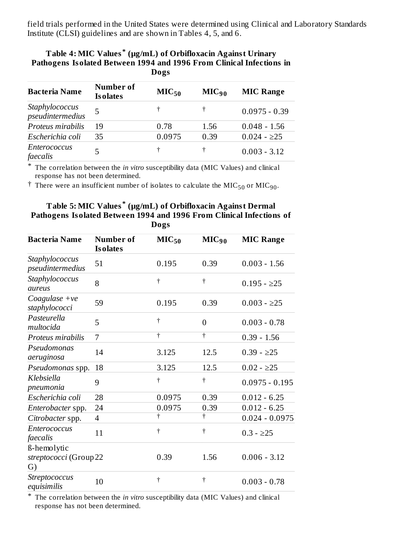field trials performed in the United States were determined using Clinical and Laboratory Standards Institute (CLSI) guidelines and are shown in Tables 4, 5, and 6.

| r athogens roomten between roo , and root rivin chinem mitetions<br>Dogs |                               |                   |            |                  |  |  |
|--------------------------------------------------------------------------|-------------------------------|-------------------|------------|------------------|--|--|
| <b>Bacteria Name</b>                                                     | Number of<br><b>Is olates</b> | MIC <sub>50</sub> | $MIC_{90}$ | <b>MIC Range</b> |  |  |
| Staphylococcus<br>pseudintermedius                                       | 5                             |                   |            | $0.0975 - 0.39$  |  |  |
| Proteus mirabilis                                                        | 19                            | 0.78              | 1.56       | $0.048 - 1.56$   |  |  |
| Escherichia coli                                                         | 35                            | 0.0975            | 0.39       | $0.024 - 225$    |  |  |
| Enterococcus<br>faecalis                                                 | 5                             | t                 |            | $0.003 - 3.12$   |  |  |

# **Table 4: MIC Values (µg/mL) of Orbifloxacin Against Urinary \* Pathogens Isolated Between 1994 and 1996 From Clinical Infections in**

\* The correlation between the *in vitro* susceptibility data (MIC Values) and clinical response has not been determined.

 $\dagger$  There were an insufficient number of isolates to calculate the MIC<sub>50</sub> or MIC<sub>90</sub>.

#### **Table 5: MIC Values (µg/mL) of Orbifloxacin Against Dermal \* Pathogens Isolated Between 1994 and 1996 From Clinical Infections of Dogs**

| <b>Bacteria Name</b>                        | <b>Number of</b><br><b>Is olates</b> | MIC <sub>50</sub>    | MIC <sub>90</sub>    | <b>MIC Range</b> |
|---------------------------------------------|--------------------------------------|----------------------|----------------------|------------------|
| Staphylococcus<br>pseudintermedius          | 51                                   | 0.195                | 0.39                 | $0.003 - 1.56$   |
| Staphylococcus<br>aureus                    | 8                                    | $\ddagger$           | $\dagger$            | $0.195 - 225$    |
| Coagulase + $ve$<br>staphylococci           | 59                                   | 0.195                | 0.39                 | $0.003 - 225$    |
| Pasteurella<br>multocida                    | 5                                    | $\dagger$            | $\overline{0}$       | $0.003 - 0.78$   |
| Proteus mirabilis                           | 7                                    | $\overline{\dagger}$ | $\overline{\dagger}$ | $0.39 - 1.56$    |
| Pseudomonas<br>aeruginosa                   | 14                                   | 3.125                | 12.5                 | $0.39 - 225$     |
| Pseudomonas spp.                            | 18                                   | 3.125                | 12.5                 | $0.02 - 25$      |
| Klebsiella<br>pneumonia                     | 9                                    | $\dagger$            | $\dagger$            | $0.0975 - 0.195$ |
| Escherichia coli                            | 28                                   | 0.0975               | 0.39                 | $0.012 - 6.25$   |
| Enterobacter spp.                           | 24                                   | 0.0975               | 0.39                 | $0.012 - 6.25$   |
| Citrobacter spp.                            | $\overline{4}$                       | $\overline{\dagger}$ | $\dagger$            | $0.024 - 0.0975$ |
| <b>Enterococcus</b><br>faecalis             | 11                                   | $\ddagger$           | $\dagger$            | $0.3 - 225$      |
| ß-hemolytic<br>streptococci (Group 22<br>G) |                                      | 0.39                 | 1.56                 | $0.006 - 3.12$   |
| Streptococcus<br>equisimilis                | 10                                   | $\ddagger$           | Ť                    | $0.003 - 0.78$   |

\* The correlation between the *in vitro* susceptibility data (MIC Values) and clinical response has not been determined.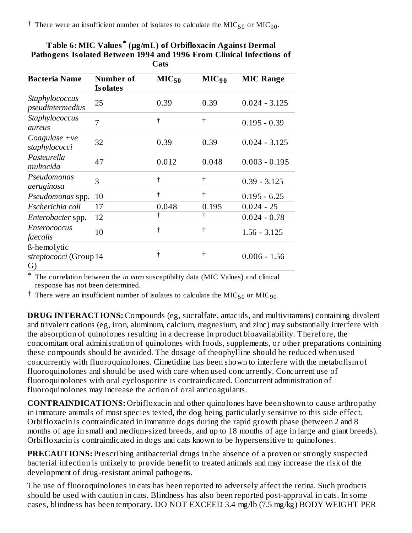$\dagger$  There were an insufficient number of isolates to calculate the MIC<sub>50</sub> or MIC<sub>90</sub>.

| <b>Bacteria Name</b>                        | Number of<br><b>Is olates</b> | MIC <sub>50</sub> | MIC <sub>90</sub> | <b>MIC Range</b> |
|---------------------------------------------|-------------------------------|-------------------|-------------------|------------------|
| Staphylococcus<br>pseudintermedius          | 25                            | 0.39              | 0.39              | $0.024 - 3.125$  |
| Staphylococcus<br>aureus                    | 7                             | $\dagger$         | †                 | $0.195 - 0.39$   |
| Coagulase $+ve$<br>staphylococci            | 32                            | 0.39              | 0.39              | $0.024 - 3.125$  |
| Pasteurella<br>multocida                    | 47                            | 0.012             | 0.048             | $0.003 - 0.195$  |
| Pseudomonas<br>aeruginosa                   | 3                             | $\dagger$         | ╈                 | $0.39 - 3.125$   |
| Pseudomonas spp.                            | 10                            | t                 | t                 | $0.195 - 6.25$   |
| Escherichia coli                            | 17                            | 0.048             | 0.195             | $0.024 - 25$     |
| Enterobacter spp.                           | 12                            | t                 |                   | $0.024 - 0.78$   |
| <b>Enterococcus</b><br>faecalis             | 10                            | t                 | t                 | $1.56 - 3.125$   |
| ß-hemolytic<br>streptococci (Group 14<br>G) |                               | t                 | †                 | $0.006 - 1.56$   |

| Table 6: MIC Values <sup>*</sup> (µg/mL) of Orbifloxacin Against Dermal |
|-------------------------------------------------------------------------|
| Pathogens Isolated Between 1994 and 1996 From Clinical Infections of    |
| <b>Cats</b>                                                             |

\* The correlation between the *in vitro* susceptibility data (MIC Values) and clinical response has not been determined.

 $^\dagger$  There were an insufficient number of isolates to calculate the MIC<sub>50</sub> or MIC<sub>90</sub>.

**DRUG INTERACTIONS:** Compounds (eg, sucralfate, antacids, and multivitamins) containing divalent and trivalent cations (eg, iron, aluminum, calcium, magnesium, and zinc) may substantially interfere with the absorption of quinolones resulting in a decrease in product bioavailability. Therefore, the concomitant oral administration of quinolones with foods, supplements, or other preparations containing these compounds should be avoided. The dosage of theophylline should be reduced when used concurrently with fluoroquinolones. Cimetidine has been shown to interfere with the metabolism of fluoroquinolones and should be used with care when used concurrently. Concurrent use of fluoroquinolones with oral cyclosporine is contraindicated. Concurrent administration of fluoroquinolones may increase the action of oral anticoagulants.

**CONTRAINDICATIONS:** Orbifloxacin and other quinolones have been shown to cause arthropathy in immature animals of most species tested, the dog being particularly sensitive to this side effect. Orbifloxacin is contraindicated in immature dogs during the rapid growth phase (between 2 and 8 months of age in small and medium-sized breeds, and up to 18 months of age in large and giant breeds). Orbifloxacin is contraindicated in dogs and cats known to be hypersensitive to quinolones.

**PRECAUTIONS:** Prescribing antibacterial drugs in the absence of a proven or strongly suspected bacterial infection is unlikely to provide benefit to treated animals and may increase the risk of the development of drug-resistant animal pathogens.

The use of fluoroquinolones in cats has been reported to adversely affect the retina. Such products should be used with caution in cats. Blindness has also been reported post-approval in cats. In some cases, blindness has been temporary. DO NOT EXCEED 3.4 mg/lb (7.5 mg/kg) BODY WEIGHT PER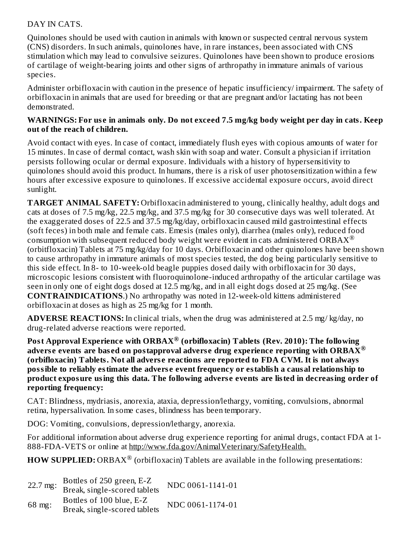## DAY IN CATS.

Quinolones should be used with caution in animals with known or suspected central nervous system (CNS) disorders. In such animals, quinolones have, in rare instances, been associated with CNS stimulation which may lead to convulsive seizures. Quinolones have been shown to produce erosions of cartilage of weight-bearing joints and other signs of arthropathy in immature animals of various species.

Administer orbifloxacin with caution in the presence of hepatic insufficiency/ impairment. The safety of orbifloxacin in animals that are used for breeding or that are pregnant and/or lactating has not been demonstrated.

## WARNINGS: For use in animals only. Do not exceed 7.5 mg/kg body weight per day in cats. Keep **out of the reach of children.**

Avoid contact with eyes. In case of contact, immediately flush eyes with copious amounts of water for 15 minutes. In case of dermal contact, wash skin with soap and water. Consult a physician if irritation persists following ocular or dermal exposure. Individuals with a history of hypersensitivity to quinolones should avoid this product. In humans, there is a risk of user photosensitization within a few hours after excessive exposure to quinolones. If excessive accidental exposure occurs, avoid direct sunlight.

**TARGET ANIMAL SAFETY:** Orbifloxacin administered to young, clinically healthy, adult dogs and cats at doses of 7.5 mg/kg, 22.5 mg/kg, and 37.5 mg/kg for 30 consecutive days was well tolerated. At the exaggerated doses of 22.5 and 37.5 mg/kg/day, orbifloxacin caused mild gastrointestinal effects (soft feces) in both male and female cats. Emesis (males only), diarrhea (males only), reduced food consumption with subsequent reduced body weight were evident in cats administered ORBAX  $^\circ$ (orbitfloxacin) Tablets at 75 mg/kg/day for 10 days. Orbifloxacin and other quinolones have been shown to cause arthropathy in immature animals of most species tested, the dog being particularly sensitive to this side effect. In 8- to 10-week-old beagle puppies dosed daily with orbifloxacin for 30 days, microscopic lesions consistent with fluoroquinolone-induced arthropathy of the articular cartilage was seen in only one of eight dogs dosed at 12.5 mg/kg, and in all eight dogs dosed at 25 mg/kg. (See **CONTRAINDICATIONS**.) No arthropathy was noted in 12-week-old kittens administered orbifloxacin at doses as high as 25 mg/kg for 1 month.

**ADVERSE REACTIONS:** In clinical trials, when the drug was administered at 2.5 mg/ kg/day, no drug-related adverse reactions were reported.

**Post Approval Experience with ORBAX (orbifloxacin) Tablets (Rev. 2010): The following ® advers e events are bas ed on postapproval advers e drug experience reporting with ORBAX ® (orbifloxacin) Tablets. Not all advers e reactions are reported to FDA CVM. It is not always possible to reliably estimate the advers e event frequency or establish a causal relationship to product exposure using this data. The following advers e events are listed in decreasing order of reporting frequency:**

CAT: Blindness, mydriasis, anorexia, ataxia, depression/lethargy, vomiting, convulsions, abnormal retina, hypersalivation. In some cases, blindness has been temporary.

DOG: Vomiting, convulsions, depression/lethargy, anorexia.

For additional information about adverse drug experience reporting for animal drugs, contact FDA at 1- 888-FDA-VETS or online at http://www.fda.gov/AnimalVeterinary/SafetyHealth.

**HOW SUPPLIED:** ORBAX $^{\circledR}$  (orbifloxacin) Tablets are available in the following presentations:

| 22.7 mg: | Bottles of 250 green, E-Z<br>Break, single-scored tablets | NDC 0061-1141-01 |
|----------|-----------------------------------------------------------|------------------|
| 68 mg:   | Bottles of 100 blue, E-Z<br>Break, single-scored tablets  | NDC 0061-1174-01 |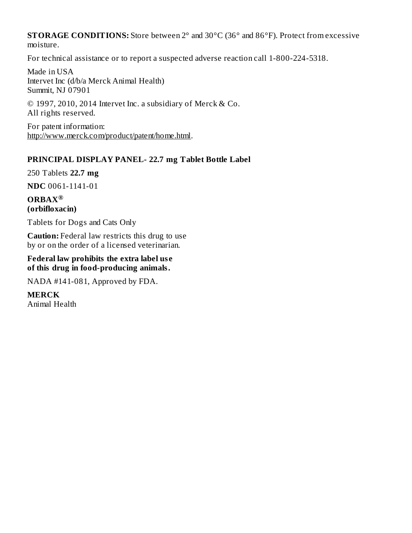**STORAGE CONDITIONS:** Store between 2° and 30°C (36° and 86°F). Protect from excessive moisture.

For technical assistance or to report a suspected adverse reaction call 1-800-224-5318.

Made in USA Intervet Inc (d/b/a Merck Animal Health) Summit, NJ 07901

© 1997, 2010, 2014 Intervet Inc. a subsidiary of Merck & Co. All rights reserved.

For patent information: http://www.merck.com/product/patent/home.html.

## **PRINCIPAL DISPLAY PANEL- 22.7 mg Tablet Bottle Label**

250 Tablets **22.7 mg**

**NDC** 0061-1141-01

**ORBAX ®(orbifloxacin)**

Tablets for Dogs and Cats Only

**Caution:** Federal law restricts this drug to use by or on the order of a licensed veterinarian.

#### **Federal law prohibits the extra label us e of this drug in food-producing animals.**

NADA #141-081, Approved by FDA.

**MERCK**

Animal Health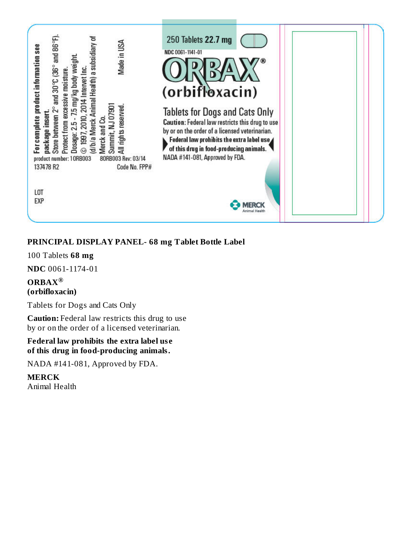

## **PRINCIPAL DISPLAY PANEL- 68 mg Tablet Bottle Label**

100 Tablets **68 mg**

**NDC** 0061-1174-01

## **ORBAX ®(orbifloxacin)**

Tablets for Dogs and Cats Only

**Caution:** Federal law restricts this drug to use by or on the order of a licensed veterinarian.

## **Federal law prohibits the extra label us e of this drug in food-producing animals.**

NADA #141-081, Approved by FDA.

**MERCK** Animal Health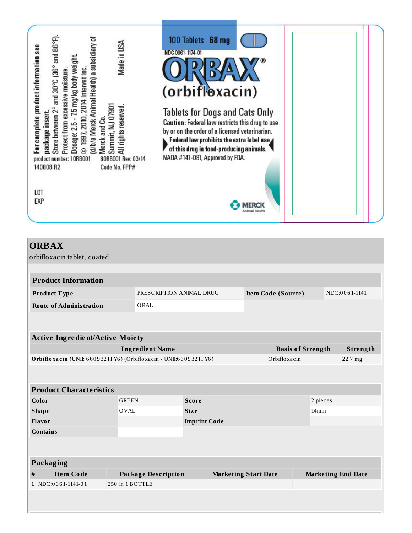

|                                                                  |  |                                                                 |                             | NDC:0061-1141                                              |  |
|------------------------------------------------------------------|--|-----------------------------------------------------------------|-----------------------------|------------------------------------------------------------|--|
| ORAL                                                             |  |                                                                 |                             |                                                            |  |
|                                                                  |  |                                                                 |                             |                                                            |  |
|                                                                  |  |                                                                 |                             |                                                            |  |
| <b>Active Ingredient/Active Moiety</b>                           |  |                                                                 |                             |                                                            |  |
| <b>Ingredient Name</b>                                           |  |                                                                 |                             | Strength                                                   |  |
| Orbifloxacin (UNII: 660932TPY6) (Orbifloxacin - UNII:660932TPY6) |  |                                                                 | Orbifloxacin<br>22.7 mg     |                                                            |  |
|                                                                  |  |                                                                 |                             |                                                            |  |
|                                                                  |  |                                                                 |                             |                                                            |  |
|                                                                  |  |                                                                 |                             |                                                            |  |
|                                                                  |  |                                                                 |                             |                                                            |  |
| <b>Size</b>                                                      |  |                                                                 | 14 <sub>mm</sub>            |                                                            |  |
|                                                                  |  |                                                                 |                             |                                                            |  |
|                                                                  |  |                                                                 |                             |                                                            |  |
|                                                                  |  |                                                                 |                             |                                                            |  |
|                                                                  |  |                                                                 |                             |                                                            |  |
|                                                                  |  |                                                                 |                             |                                                            |  |
| <b>Package Description</b>                                       |  |                                                                 |                             | <b>Marketing End Date</b>                                  |  |
| 250 in 1 BOTTLE                                                  |  |                                                                 |                             |                                                            |  |
|                                                                  |  |                                                                 |                             |                                                            |  |
|                                                                  |  |                                                                 |                             |                                                            |  |
|                                                                  |  | PRESCRIPTION ANIMAL DRUG<br><b>Score</b><br><b>Imprint Code</b> | <b>Marketing Start Date</b> | Item Code (Source)<br><b>Basis of Strength</b><br>2 pieces |  |